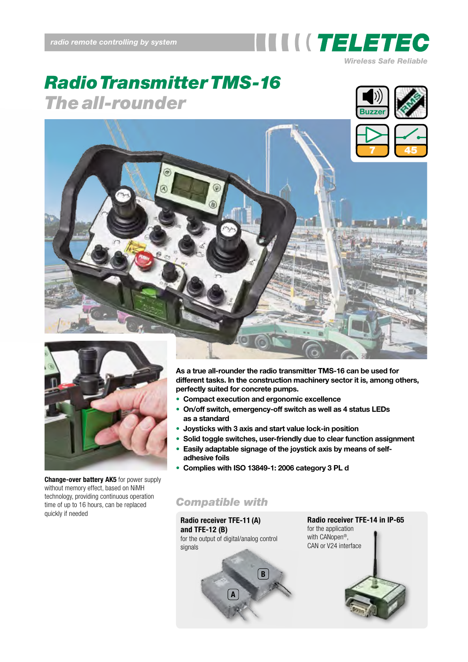

# *RadioTransmitter TMS-16 The all-rounder*







**Change-over battery AK5** for power supply without memory effect, based on NiMH technology, providing continuous operation time of up to 16 hours, can be replaced<br>quickly if needed

**As a true all-rounder the radio transmitter TMS-16 can be used for different tasks. In the construction machinery sector it is, among others, perfectly suited for concrete pumps.**

- **Compact execution and ergonomic excellence**
- **On/off switch, emergency-off switch as well as 4 status LEDs as a standard**
- **Joysticks with 3 axis and start value lock-in position**
- **Solid toggle switches, user-friendly due to clear function assignment**
- **Easily adaptable signage of the joystick axis by means of selfadhesive foils**
- **Complies with ISO 13849-1: 2006 category 3 PL d**

**B**

### *Compatible with*

**Radio receiver TFE-11 (A) and TFE-12 (B)** for the output of digital/analog control signals

**A**